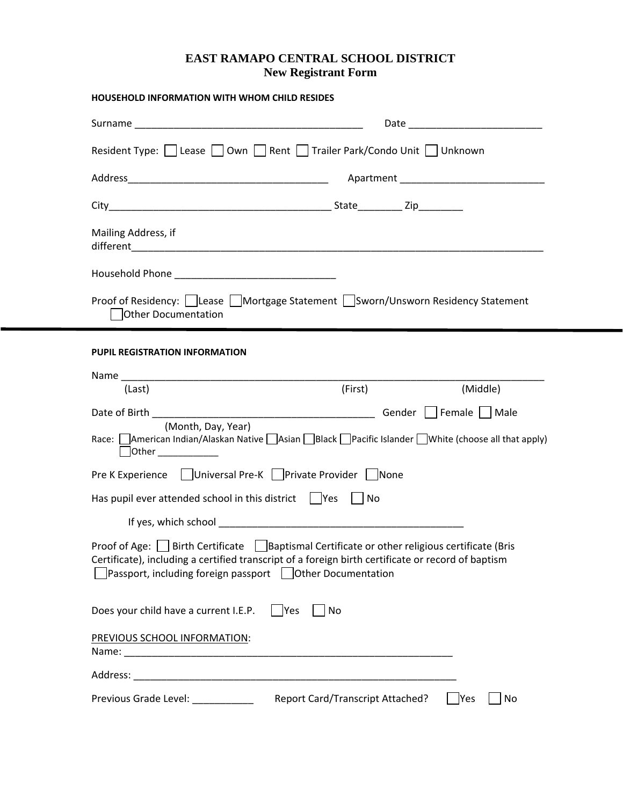## **EAST RAMAPO CENTRAL SCHOOL DISTRICT New Registrant Form**

| <b>HOUSEHOLD INFORMATION WITH WHOM CHILD RESIDES</b>                                                                                                                                                                                                                         |
|------------------------------------------------------------------------------------------------------------------------------------------------------------------------------------------------------------------------------------------------------------------------------|
| Date and the contract of the contract of the contract of the contract of the contract of the contract of the contract of the contract of the contract of the contract of the contract of the contract of the contract of the c                                               |
| Resident Type:     Lease     Own     Rent     Trailer Park/Condo Unit     Unknown                                                                                                                                                                                            |
|                                                                                                                                                                                                                                                                              |
|                                                                                                                                                                                                                                                                              |
| Mailing Address, if                                                                                                                                                                                                                                                          |
|                                                                                                                                                                                                                                                                              |
| Proof of Residency:   Lease   Mortgage Statement   Sworn/Unsworn Residency Statement<br><b>Other Documentation</b>                                                                                                                                                           |
| <b>PUPIL REGISTRATION INFORMATION</b>                                                                                                                                                                                                                                        |
| (First)<br>(Middle)<br>(Last)                                                                                                                                                                                                                                                |
|                                                                                                                                                                                                                                                                              |
| (Month, Day, Year)<br>Race: American Indian/Alaskan Native Asian Black Pacific Islander White (choose all that apply)<br>$\Box$ Other                                                                                                                                        |
| Pre K Experience   Universal Pre-K   Private Provider   None                                                                                                                                                                                                                 |
| Has pupil ever attended school in this district $\ $  Yes    No                                                                                                                                                                                                              |
|                                                                                                                                                                                                                                                                              |
| Proof of Age: $\Box$ Birth Certificate $\Box$ Baptismal Certificate or other religious certificate (Bris<br>Certificate), including a certified transcript of a foreign birth certificate or record of baptism<br>Passport, including foreign passport   Other Documentation |
| Does your child have a current I.E.P.<br>$ $  Yes<br>No                                                                                                                                                                                                                      |
| PREVIOUS SCHOOL INFORMATION:                                                                                                                                                                                                                                                 |
|                                                                                                                                                                                                                                                                              |
| Report Card/Transcript Attached?<br>Yes<br>No                                                                                                                                                                                                                                |